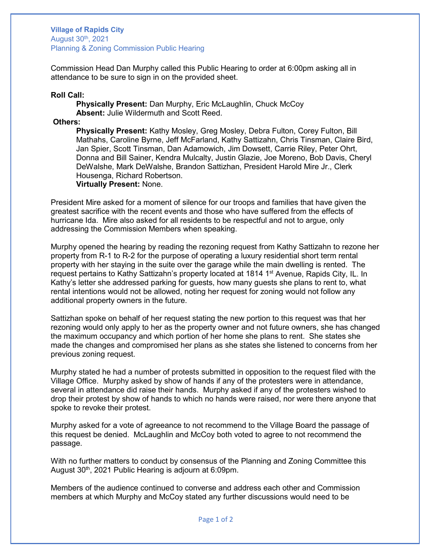## **Village of Rapids City** August 30th, 2021 Planning & Zoning Commission Public Hearing

Commission Head Dan Murphy called this Public Hearing to order at 6:00pm asking all in attendance to be sure to sign in on the provided sheet.

**Roll Call:** 

**Physically Present:** Dan Murphy, Eric McLaughlin, Chuck McCoy **Absent:** Julie Wildermuth and Scott Reed.

**Others:** 

**Physically Present:** Kathy Mosley, Greg Mosley, Debra Fulton, Corey Fulton, Bill Mathahs, Caroline Byrne, Jeff McFarland, Kathy Sattizahn, Chris Tinsman, Claire Bird, Jan Spier, Scott Tinsman, Dan Adamowich, Jim Dowsett, Carrie Riley, Peter Ohrt, Donna and Bill Sainer, Kendra Mulcalty, Justin Glazie, Joe Moreno, Bob Davis, Cheryl DeWalshe, Mark DeWalshe, Brandon Sattizhan, President Harold Mire Jr., Clerk Housenga, Richard Robertson. **Virtually Present:** None.

President Mire asked for a moment of silence for our troops and families that have given the greatest sacrifice with the recent events and those who have suffered from the effects of hurricane Ida. Mire also asked for all residents to be respectful and not to argue, only addressing the Commission Members when speaking.

Murphy opened the hearing by reading the rezoning request from Kathy Sattizahn to rezone her property from R-1 to R-2 for the purpose of operating a luxury residential short term rental property with her staying in the suite over the garage while the main dwelling is rented. The request pertains to Kathy Sattizahn's property located at 1814 1<sup>st</sup> Avenue, Rapids City, IL. In Kathy's letter she addressed parking for guests, how many guests she plans to rent to, what rental intentions would not be allowed, noting her request for zoning would not follow any additional property owners in the future.

Sattizhan spoke on behalf of her request stating the new portion to this request was that her rezoning would only apply to her as the property owner and not future owners, she has changed the maximum occupancy and which portion of her home she plans to rent. She states she made the changes and compromised her plans as she states she listened to concerns from her previous zoning request.

Murphy stated he had a number of protests submitted in opposition to the request filed with the Village Office. Murphy asked by show of hands if any of the protesters were in attendance, several in attendance did raise their hands. Murphy asked if any of the protesters wished to drop their protest by show of hands to which no hands were raised, nor were there anyone that spoke to revoke their protest.

Murphy asked for a vote of agreeance to not recommend to the Village Board the passage of this request be denied. McLaughlin and McCoy both voted to agree to not recommend the passage.

With no further matters to conduct by consensus of the Planning and Zoning Committee this August 30<sup>th</sup>, 2021 Public Hearing is adjourn at 6:09pm.

Members of the audience continued to converse and address each other and Commission members at which Murphy and McCoy stated any further discussions would need to be